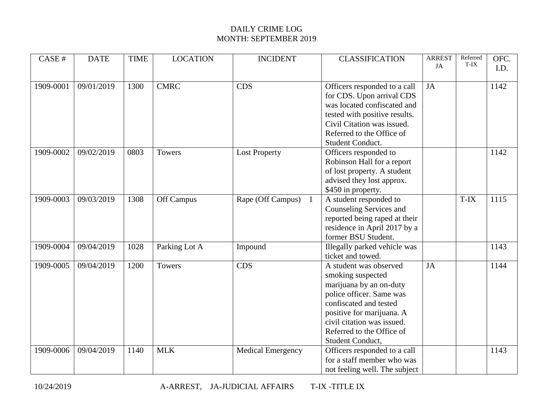| CASE#     | <b>DATE</b> | <b>TIME</b> | <b>LOCATION</b> | <b>INCIDENT</b>          | <b>CLASSIFICATION</b>                                                                                                                                                                                                                    | <b>ARREST</b><br>JA | Referred<br>T-IX | OFC.<br>I.D. |
|-----------|-------------|-------------|-----------------|--------------------------|------------------------------------------------------------------------------------------------------------------------------------------------------------------------------------------------------------------------------------------|---------------------|------------------|--------------|
| 1909-0001 | 09/01/2019  | 1300        | <b>CMRC</b>     | <b>CDS</b>               | Officers responded to a call<br>for CDS. Upon arrival CDS<br>was located confiscated and<br>tested with positive results.<br>Civil Citation was issued.<br>Referred to the Office of<br>Student Conduct.                                 | JA                  |                  | 1142         |
| 1909-0002 | 09/02/2019  | 0803        | <b>Towers</b>   | <b>Lost Property</b>     | Officers responded to<br>Robinson Hall for a report<br>of lost property. A student<br>advised they lost approx.<br>\$450 in property.                                                                                                    |                     |                  | 1142         |
| 1909-0003 | 09/03/2019  | 1308        | Off Campus      | Rape (Off Campus)        | A student responded to<br>Counseling Services and<br>reported being raped at their<br>residence in April 2017 by a<br>former BSU Student.                                                                                                |                     | T-IX             | 1115         |
| 1909-0004 | 09/04/2019  | 1028        | Parking Lot A   | Impound                  | Illegally parked vehicle was<br>ticket and towed.                                                                                                                                                                                        |                     |                  | 1143         |
| 1909-0005 | 09/04/2019  | 1200        | <b>Towers</b>   | <b>CDS</b>               | A student was observed<br>smoking suspected<br>marijuana by an on-duty<br>police officer. Same was<br>confiscated and tested<br>positive for marijuana. A<br>civil citation was issued.<br>Referred to the Office of<br>Student Conduct, | JA                  |                  | 1144         |
| 1909-0006 | 09/04/2019  | 1140        | <b>MLK</b>      | <b>Medical Emergency</b> | Officers responded to a call<br>for a staff member who was<br>not feeling well. The subject                                                                                                                                              |                     |                  | 1143         |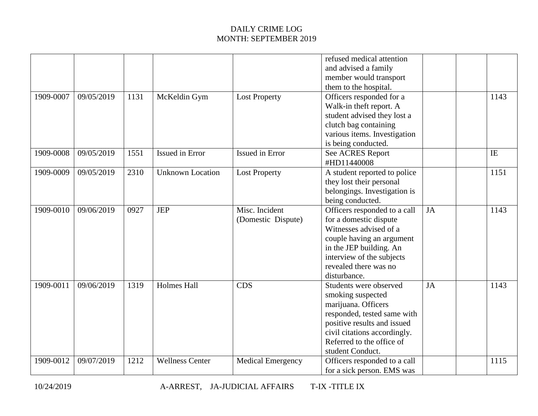|           |            |      |                         |                                      | refused medical attention<br>and advised a family<br>member would transport<br>them to the hospital.                                                                                                              |           |            |      |
|-----------|------------|------|-------------------------|--------------------------------------|-------------------------------------------------------------------------------------------------------------------------------------------------------------------------------------------------------------------|-----------|------------|------|
| 1909-0007 | 09/05/2019 | 1131 | McKeldin Gym            | <b>Lost Property</b>                 | Officers responded for a<br>Walk-in theft report. A<br>student advised they lost a<br>clutch bag containing<br>various items. Investigation<br>is being conducted.                                                |           |            | 1143 |
| 1909-0008 | 09/05/2019 | 1551 | Issued in Error         | Issued in Error                      | See ACRES Report<br>#HD11440008                                                                                                                                                                                   |           | $\rm I\!E$ |      |
| 1909-0009 | 09/05/2019 | 2310 | <b>Unknown Location</b> | <b>Lost Property</b>                 | A student reported to police<br>they lost their personal<br>belongings. Investigation is<br>being conducted.                                                                                                      |           |            | 1151 |
| 1909-0010 | 09/06/2019 | 0927 | <b>JEP</b>              | Misc. Incident<br>(Domestic Dispute) | Officers responded to a call<br>for a domestic dispute<br>Witnesses advised of a<br>couple having an argument<br>in the JEP building. An<br>interview of the subjects<br>revealed there was no<br>disturbance.    | <b>JA</b> |            | 1143 |
| 1909-0011 | 09/06/2019 | 1319 | <b>Holmes Hall</b>      | <b>CDS</b>                           | Students were observed<br>smoking suspected<br>marijuana. Officers<br>responded, tested same with<br>positive results and issued<br>civil citations accordingly.<br>Referred to the office of<br>student Conduct. | JA        |            | 1143 |
| 1909-0012 | 09/07/2019 | 1212 | <b>Wellness Center</b>  | <b>Medical Emergency</b>             | Officers responded to a call<br>for a sick person. EMS was                                                                                                                                                        |           |            | 1115 |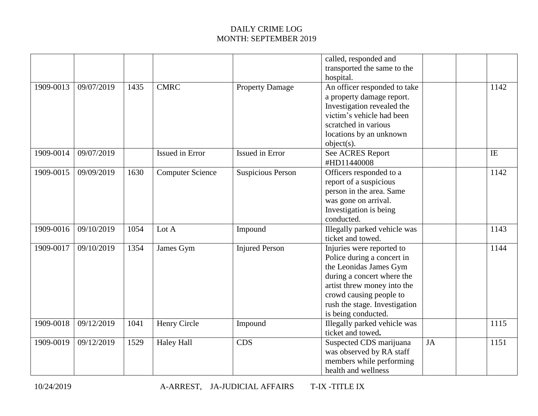|           |            |      |                         |                          | called, responded and<br>transported the same to the |    |            |
|-----------|------------|------|-------------------------|--------------------------|------------------------------------------------------|----|------------|
|           |            |      |                         |                          | hospital.                                            |    |            |
| 1909-0013 | 09/07/2019 | 1435 | <b>CMRC</b>             | <b>Property Damage</b>   | An officer responded to take                         |    | 1142       |
|           |            |      |                         |                          | a property damage report.                            |    |            |
|           |            |      |                         |                          | Investigation revealed the                           |    |            |
|           |            |      |                         |                          | victim's vehicle had been                            |    |            |
|           |            |      |                         |                          | scratched in various                                 |    |            |
|           |            |      |                         |                          | locations by an unknown                              |    |            |
|           |            |      |                         |                          | $object(s)$ .                                        |    |            |
| 1909-0014 | 09/07/2019 |      | Issued in Error         | Issued in Error          | See ACRES Report                                     |    | $\rm I\!E$ |
|           |            |      |                         |                          | #HD11440008                                          |    |            |
| 1909-0015 | 09/09/2019 | 1630 | <b>Computer Science</b> | <b>Suspicious Person</b> | Officers responded to a                              |    | 1142       |
|           |            |      |                         |                          | report of a suspicious                               |    |            |
|           |            |      |                         |                          | person in the area. Same                             |    |            |
|           |            |      |                         |                          | was gone on arrival.                                 |    |            |
|           |            |      |                         |                          | Investigation is being                               |    |            |
|           |            |      |                         |                          | conducted.                                           |    |            |
| 1909-0016 | 09/10/2019 | 1054 | Lot A                   | Impound                  | Illegally parked vehicle was                         |    | 1143       |
|           |            |      |                         |                          | ticket and towed.                                    |    |            |
| 1909-0017 | 09/10/2019 | 1354 | James Gym               | <b>Injured Person</b>    | Injuries were reported to                            |    | 1144       |
|           |            |      |                         |                          | Police during a concert in                           |    |            |
|           |            |      |                         |                          | the Leonidas James Gym                               |    |            |
|           |            |      |                         |                          | during a concert where the                           |    |            |
|           |            |      |                         |                          | artist threw money into the                          |    |            |
|           |            |      |                         |                          | crowd causing people to                              |    |            |
|           |            |      |                         |                          | rush the stage. Investigation                        |    |            |
|           |            |      |                         |                          | is being conducted.                                  |    |            |
| 1909-0018 | 09/12/2019 | 1041 | Henry Circle            | Impound                  | <b>Illegally parked vehicle was</b>                  |    | 1115       |
|           |            |      |                         |                          | ticket and towed.                                    |    |            |
| 1909-0019 | 09/12/2019 | 1529 | <b>Haley Hall</b>       | <b>CDS</b>               | Suspected CDS marijuana                              | JA | 1151       |
|           |            |      |                         |                          | was observed by RA staff                             |    |            |
|           |            |      |                         |                          | members while performing                             |    |            |
|           |            |      |                         |                          | health and wellness                                  |    |            |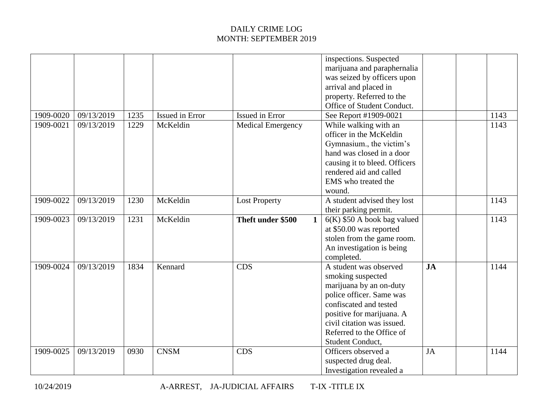|           |            |      |                 |                                   | inspections. Suspected<br>marijuana and paraphernalia<br>was seized by officers upon<br>arrival and placed in<br>property. Referred to the<br>Office of Student Conduct.                                                                 |           |      |
|-----------|------------|------|-----------------|-----------------------------------|------------------------------------------------------------------------------------------------------------------------------------------------------------------------------------------------------------------------------------------|-----------|------|
| 1909-0020 | 09/13/2019 | 1235 | Issued in Error | Issued in Error                   | See Report #1909-0021                                                                                                                                                                                                                    |           | 1143 |
| 1909-0021 | 09/13/2019 | 1229 | McKeldin        | Medical Emergency                 | While walking with an<br>officer in the McKeldin<br>Gymnasium., the victim's<br>hand was closed in a door<br>causing it to bleed. Officers<br>rendered aid and called<br>EMS who treated the<br>wound.                                   |           | 1143 |
| 1909-0022 | 09/13/2019 | 1230 | McKeldin        | <b>Lost Property</b>              | A student advised they lost<br>their parking permit.                                                                                                                                                                                     |           | 1143 |
| 1909-0023 | 09/13/2019 | 1231 | McKeldin        | Theft under \$500<br>$\mathbf{1}$ | $6(K)$ \$50 A book bag valued<br>at \$50.00 was reported<br>stolen from the game room.<br>An investigation is being<br>completed.                                                                                                        |           | 1143 |
| 1909-0024 | 09/13/2019 | 1834 | Kennard         | <b>CDS</b>                        | A student was observed<br>smoking suspected<br>marijuana by an on-duty<br>police officer. Same was<br>confiscated and tested<br>positive for marijuana. A<br>civil citation was issued.<br>Referred to the Office of<br>Student Conduct, | <b>JA</b> | 1144 |
| 1909-0025 | 09/13/2019 | 0930 | <b>CNSM</b>     | <b>CDS</b>                        | Officers observed a<br>suspected drug deal.<br>Investigation revealed a                                                                                                                                                                  | JA        | 1144 |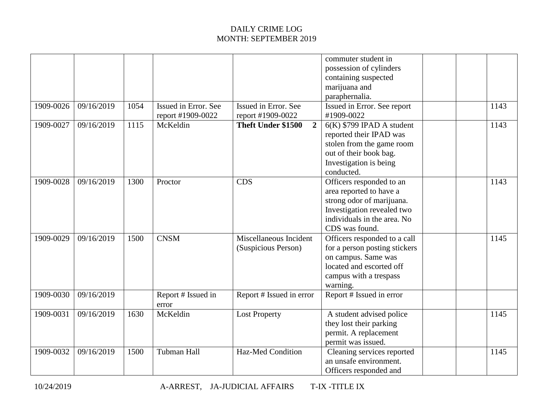|           |            |      |                                           |                                               | commuter student in<br>possession of cylinders<br>containing suspected<br>marijuana and<br>paraphernalia.                                                       |      |
|-----------|------------|------|-------------------------------------------|-----------------------------------------------|-----------------------------------------------------------------------------------------------------------------------------------------------------------------|------|
| 1909-0026 | 09/16/2019 | 1054 | Issued in Error. See<br>report #1909-0022 | Issued in Error. See<br>report #1909-0022     | Issued in Error. See report<br>#1909-0022                                                                                                                       | 1143 |
| 1909-0027 | 09/16/2019 | 1115 | McKeldin                                  | $\overline{2}$<br><b>Theft Under \$1500</b>   | $6(K)$ \$799 IPAD A student<br>reported their IPAD was<br>stolen from the game room<br>out of their book bag.<br>Investigation is being<br>conducted.           | 1143 |
| 1909-0028 | 09/16/2019 | 1300 | Proctor                                   | <b>CDS</b>                                    | Officers responded to an<br>area reported to have a<br>strong odor of marijuana.<br>Investigation revealed two<br>individuals in the area. No<br>CDS was found. | 1143 |
| 1909-0029 | 09/16/2019 | 1500 | <b>CNSM</b>                               | Miscellaneous Incident<br>(Suspicious Person) | Officers responded to a call<br>for a person posting stickers<br>on campus. Same was<br>located and escorted off<br>campus with a trespass<br>warning.          | 1145 |
| 1909-0030 | 09/16/2019 |      | Report # Issued in<br>error               | Report # Issued in error                      | Report # Issued in error                                                                                                                                        |      |
| 1909-0031 | 09/16/2019 | 1630 | McKeldin                                  | <b>Lost Property</b>                          | A student advised police<br>they lost their parking<br>permit. A replacement<br>permit was issued.                                                              | 1145 |
| 1909-0032 | 09/16/2019 | 1500 | Tubman Hall                               | Haz-Med Condition                             | Cleaning services reported<br>an unsafe environment.<br>Officers responded and                                                                                  | 1145 |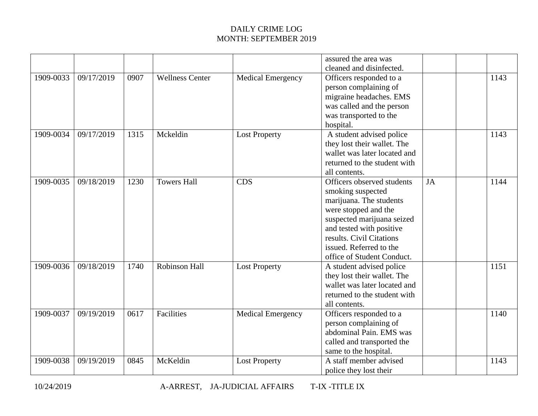|           |            |      |                        |                          | assured the area was<br>cleaned and disinfected.                                                                                                                                                                                                  |    |      |
|-----------|------------|------|------------------------|--------------------------|---------------------------------------------------------------------------------------------------------------------------------------------------------------------------------------------------------------------------------------------------|----|------|
| 1909-0033 | 09/17/2019 | 0907 | <b>Wellness Center</b> | <b>Medical Emergency</b> | Officers responded to a<br>person complaining of<br>migraine headaches. EMS<br>was called and the person<br>was transported to the<br>hospital.                                                                                                   |    | 1143 |
| 1909-0034 | 09/17/2019 | 1315 | Mckeldin               | <b>Lost Property</b>     | A student advised police<br>they lost their wallet. The<br>wallet was later located and<br>returned to the student with<br>all contents.                                                                                                          |    | 1143 |
| 1909-0035 | 09/18/2019 | 1230 | <b>Towers Hall</b>     | <b>CDS</b>               | Officers observed students<br>smoking suspected<br>marijuana. The students<br>were stopped and the<br>suspected marijuana seized<br>and tested with positive<br>results. Civil Citations<br>issued. Referred to the<br>office of Student Conduct. | JA | 1144 |
| 1909-0036 | 09/18/2019 | 1740 | Robinson Hall          | <b>Lost Property</b>     | A student advised police<br>they lost their wallet. The<br>wallet was later located and<br>returned to the student with<br>all contents.                                                                                                          |    | 1151 |
| 1909-0037 | 09/19/2019 | 0617 | Facilities             | <b>Medical Emergency</b> | Officers responded to a<br>person complaining of<br>abdominal Pain. EMS was<br>called and transported the<br>same to the hospital.                                                                                                                |    | 1140 |
| 1909-0038 | 09/19/2019 | 0845 | McKeldin               | <b>Lost Property</b>     | A staff member advised<br>police they lost their                                                                                                                                                                                                  |    | 1143 |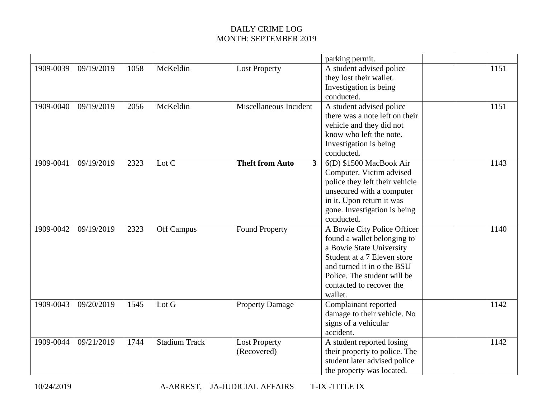|           |            |      |                      |                                          | parking permit.                                                                                                                                                                                                           |      |  |
|-----------|------------|------|----------------------|------------------------------------------|---------------------------------------------------------------------------------------------------------------------------------------------------------------------------------------------------------------------------|------|--|
| 1909-0039 | 09/19/2019 | 1058 | McKeldin             | <b>Lost Property</b>                     | A student advised police<br>they lost their wallet.<br>Investigation is being<br>conducted.                                                                                                                               | 1151 |  |
| 1909-0040 | 09/19/2019 | 2056 | McKeldin             | Miscellaneous Incident                   | A student advised police<br>there was a note left on their<br>vehicle and they did not<br>know who left the note.<br>Investigation is being<br>conducted.                                                                 | 1151 |  |
| 1909-0041 | 09/19/2019 | 2323 | Lot C                | <b>Theft from Auto</b><br>$\overline{3}$ | 6(D) \$1500 MacBook Air<br>Computer. Victim advised<br>police they left their vehicle<br>unsecured with a computer<br>in it. Upon return it was<br>gone. Investigation is being<br>conducted.                             | 1143 |  |
| 1909-0042 | 09/19/2019 | 2323 | Off Campus           | <b>Found Property</b>                    | A Bowie City Police Officer<br>found a wallet belonging to<br>a Bowie State University<br>Student at a 7 Eleven store<br>and turned it in o the BSU<br>Police. The student will be<br>contacted to recover the<br>wallet. | 1140 |  |
| 1909-0043 | 09/20/2019 | 1545 | Lot G                | <b>Property Damage</b>                   | Complainant reported<br>damage to their vehicle. No<br>signs of a vehicular<br>accident.                                                                                                                                  | 1142 |  |
| 1909-0044 | 09/21/2019 | 1744 | <b>Stadium Track</b> | <b>Lost Property</b><br>(Recovered)      | A student reported losing<br>their property to police. The<br>student later advised police<br>the property was located.                                                                                                   | 1142 |  |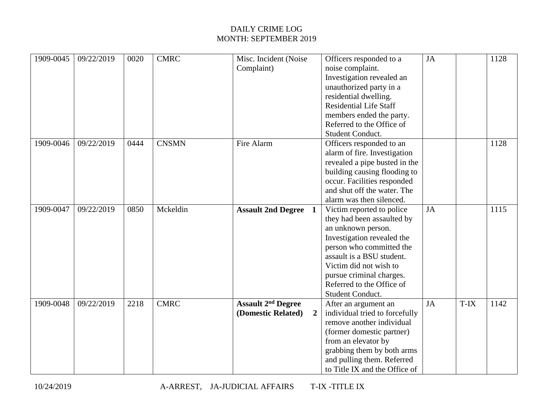| 1909-0045 | 09/22/2019 | 0020 | <b>CMRC</b>  | Misc. Incident (Noise<br>Complaint)  | Officers responded to a<br>noise complaint. | <b>JA</b> |      | 1128 |
|-----------|------------|------|--------------|--------------------------------------|---------------------------------------------|-----------|------|------|
|           |            |      |              |                                      | Investigation revealed an                   |           |      |      |
|           |            |      |              |                                      | unauthorized party in a                     |           |      |      |
|           |            |      |              |                                      | residential dwelling.                       |           |      |      |
|           |            |      |              |                                      | <b>Residential Life Staff</b>               |           |      |      |
|           |            |      |              |                                      | members ended the party.                    |           |      |      |
|           |            |      |              |                                      | Referred to the Office of                   |           |      |      |
|           |            |      |              |                                      | Student Conduct.                            |           |      |      |
| 1909-0046 | 09/22/2019 | 0444 | <b>CNSMN</b> | Fire Alarm                           | Officers responded to an                    |           |      | 1128 |
|           |            |      |              |                                      | alarm of fire. Investigation                |           |      |      |
|           |            |      |              |                                      | revealed a pipe busted in the               |           |      |      |
|           |            |      |              |                                      | building causing flooding to                |           |      |      |
|           |            |      |              |                                      | occur. Facilities responded                 |           |      |      |
|           |            |      |              |                                      | and shut off the water. The                 |           |      |      |
|           |            |      |              |                                      | alarm was then silenced.                    |           |      |      |
| 1909-0047 | 09/22/2019 | 0850 | Mckeldin     | <b>Assault 2nd Degree</b> 1          | Victim reported to police                   | <b>JA</b> |      | 1115 |
|           |            |      |              |                                      | they had been assaulted by                  |           |      |      |
|           |            |      |              |                                      | an unknown person.                          |           |      |      |
|           |            |      |              |                                      | Investigation revealed the                  |           |      |      |
|           |            |      |              |                                      | person who committed the                    |           |      |      |
|           |            |      |              |                                      | assault is a BSU student.                   |           |      |      |
|           |            |      |              |                                      | Victim did not wish to                      |           |      |      |
|           |            |      |              |                                      | pursue criminal charges.                    |           |      |      |
|           |            |      |              |                                      | Referred to the Office of                   |           |      |      |
|           |            |      |              |                                      | Student Conduct.                            |           |      |      |
| 1909-0048 | 09/22/2019 | 2218 | <b>CMRC</b>  | <b>Assault 2<sup>nd</sup> Degree</b> | After an argument an                        | <b>JA</b> | T-IX | 1142 |
|           |            |      |              | (Domestic Related)<br>$\overline{2}$ | individual tried to forcefully              |           |      |      |
|           |            |      |              |                                      | remove another individual                   |           |      |      |
|           |            |      |              |                                      | (former domestic partner)                   |           |      |      |
|           |            |      |              |                                      | from an elevator by                         |           |      |      |
|           |            |      |              |                                      | grabbing them by both arms                  |           |      |      |
|           |            |      |              |                                      | and pulling them. Referred                  |           |      |      |
|           |            |      |              |                                      | to Title IX and the Office of               |           |      |      |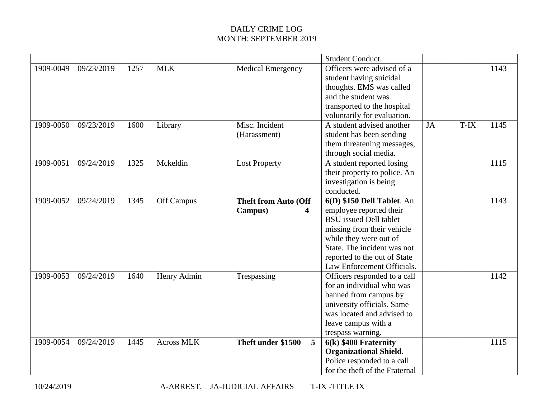|           |            |      |                   |                             | <b>Student Conduct.</b>        |    |        |      |
|-----------|------------|------|-------------------|-----------------------------|--------------------------------|----|--------|------|
| 1909-0049 | 09/23/2019 | 1257 | <b>MLK</b>        | <b>Medical Emergency</b>    | Officers were advised of a     |    |        | 1143 |
|           |            |      |                   |                             | student having suicidal        |    |        |      |
|           |            |      |                   |                             | thoughts. EMS was called       |    |        |      |
|           |            |      |                   |                             | and the student was            |    |        |      |
|           |            |      |                   |                             | transported to the hospital    |    |        |      |
|           |            |      |                   |                             | voluntarily for evaluation.    |    |        |      |
| 1909-0050 | 09/23/2019 | 1600 | Library           | Misc. Incident              | A student advised another      | JA | $T-IX$ | 1145 |
|           |            |      |                   | (Harassment)                | student has been sending       |    |        |      |
|           |            |      |                   |                             | them threatening messages,     |    |        |      |
|           |            |      |                   |                             | through social media.          |    |        |      |
| 1909-0051 | 09/24/2019 | 1325 | Mckeldin          | <b>Lost Property</b>        | A student reported losing      |    |        | 1115 |
|           |            |      |                   |                             | their property to police. An   |    |        |      |
|           |            |      |                   |                             | investigation is being         |    |        |      |
|           |            |      |                   |                             | conducted.                     |    |        |      |
| 1909-0052 | 09/24/2019 | 1345 | Off Campus        | <b>Theft from Auto (Off</b> | 6(D) \$150 Dell Tablet. An     |    |        | 1143 |
|           |            |      |                   | Campus)<br>4                | employee reported their        |    |        |      |
|           |            |      |                   |                             | <b>BSU</b> issued Dell tablet  |    |        |      |
|           |            |      |                   |                             | missing from their vehicle     |    |        |      |
|           |            |      |                   |                             | while they were out of         |    |        |      |
|           |            |      |                   |                             | State. The incident was not    |    |        |      |
|           |            |      |                   |                             | reported to the out of State   |    |        |      |
|           |            |      |                   |                             | Law Enforcement Officials.     |    |        |      |
| 1909-0053 | 09/24/2019 | 1640 | Henry Admin       | Trespassing                 | Officers responded to a call   |    |        | 1142 |
|           |            |      |                   |                             | for an individual who was      |    |        |      |
|           |            |      |                   |                             | banned from campus by          |    |        |      |
|           |            |      |                   |                             | university officials. Same     |    |        |      |
|           |            |      |                   |                             | was located and advised to     |    |        |      |
|           |            |      |                   |                             | leave campus with a            |    |        |      |
|           |            |      |                   |                             | trespass warning.              |    |        |      |
| 1909-0054 | 09/24/2019 | 1445 | <b>Across MLK</b> | Theft under \$1500<br>5     | $6(k)$ \$400 Fraternity        |    |        | 1115 |
|           |            |      |                   |                             | <b>Organizational Shield.</b>  |    |        |      |
|           |            |      |                   |                             | Police responded to a call     |    |        |      |
|           |            |      |                   |                             | for the theft of the Fraternal |    |        |      |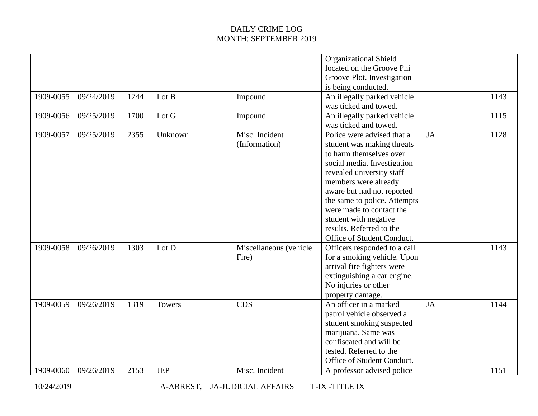| 1909-0055<br>09/24/2019<br>Lot B<br>1244<br>Impound<br>1909-0056<br>09/25/2019<br>1700<br>Lot G<br>Impound<br>Misc. Incident<br>1909-0057<br>09/25/2019<br>2355<br>Unknown | An illegally parked vehicle<br>was ticked and towed.<br>An illegally parked vehicle<br>was ticked and towed.<br>JA<br>Police were advised that a<br>student was making threats<br>to harm themselves over                                                     | 1143<br>1115<br>1128 |
|----------------------------------------------------------------------------------------------------------------------------------------------------------------------------|---------------------------------------------------------------------------------------------------------------------------------------------------------------------------------------------------------------------------------------------------------------|----------------------|
|                                                                                                                                                                            |                                                                                                                                                                                                                                                               |                      |
|                                                                                                                                                                            |                                                                                                                                                                                                                                                               |                      |
| (Information)                                                                                                                                                              | social media. Investigation<br>revealed university staff<br>members were already<br>aware but had not reported<br>the same to police. Attempts<br>were made to contact the<br>student with negative<br>results. Referred to the<br>Office of Student Conduct. |                      |
| 1909-0058<br>09/26/2019<br>1303<br>Lot D<br>Miscellaneous (vehicle<br>Fire)                                                                                                | Officers responded to a call<br>for a smoking vehicle. Upon<br>arrival fire fighters were<br>extinguishing a car engine.<br>No injuries or other<br>property damage.                                                                                          | 1143                 |
| 09/26/2019<br>1319<br>1909-0059<br><b>CDS</b><br>Towers<br>Misc. Incident<br>1909-0060<br>09/26/2019<br>2153<br><b>JEP</b>                                                 | An officer in a marked<br>JA<br>patrol vehicle observed a<br>student smoking suspected<br>marijuana. Same was<br>confiscated and will be<br>tested. Referred to the<br>Office of Student Conduct.<br>A professor advised police                               | 1144<br>1151         |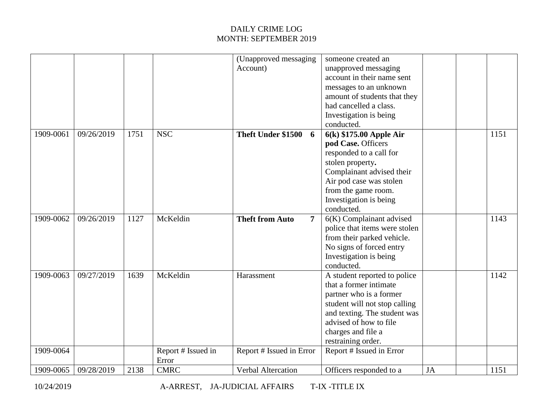|           |            |      |                    | (Unapproved messaging                    | someone created an            |           |      |
|-----------|------------|------|--------------------|------------------------------------------|-------------------------------|-----------|------|
|           |            |      |                    | Account)                                 | unapproved messaging          |           |      |
|           |            |      |                    |                                          | account in their name sent    |           |      |
|           |            |      |                    |                                          | messages to an unknown        |           |      |
|           |            |      |                    |                                          | amount of students that they  |           |      |
|           |            |      |                    |                                          | had cancelled a class.        |           |      |
|           |            |      |                    |                                          | Investigation is being        |           |      |
|           |            |      |                    |                                          | conducted.                    |           |      |
| 1909-0061 | 09/26/2019 | 1751 | <b>NSC</b>         | Theft Under \$1500<br>6                  | 6(k) \$175.00 Apple Air       |           | 1151 |
|           |            |      |                    |                                          | pod Case. Officers            |           |      |
|           |            |      |                    |                                          | responded to a call for       |           |      |
|           |            |      |                    |                                          | stolen property.              |           |      |
|           |            |      |                    |                                          | Complainant advised their     |           |      |
|           |            |      |                    |                                          |                               |           |      |
|           |            |      |                    |                                          | Air pod case was stolen       |           |      |
|           |            |      |                    |                                          | from the game room.           |           |      |
|           |            |      |                    |                                          | Investigation is being        |           |      |
|           |            |      |                    |                                          | conducted.                    |           |      |
| 1909-0062 | 09/26/2019 | 1127 | McKeldin           | <b>Theft from Auto</b><br>$\overline{7}$ | 6(K) Complainant advised      |           | 1143 |
|           |            |      |                    |                                          | police that items were stolen |           |      |
|           |            |      |                    |                                          | from their parked vehicle.    |           |      |
|           |            |      |                    |                                          | No signs of forced entry      |           |      |
|           |            |      |                    |                                          | Investigation is being        |           |      |
|           |            |      |                    |                                          | conducted.                    |           |      |
| 1909-0063 | 09/27/2019 | 1639 | McKeldin           | Harassment                               | A student reported to police  |           | 1142 |
|           |            |      |                    |                                          | that a former intimate        |           |      |
|           |            |      |                    |                                          | partner who is a former       |           |      |
|           |            |      |                    |                                          | student will not stop calling |           |      |
|           |            |      |                    |                                          | and texting. The student was  |           |      |
|           |            |      |                    |                                          | advised of how to file        |           |      |
|           |            |      |                    |                                          | charges and file a            |           |      |
|           |            |      |                    |                                          | restraining order.            |           |      |
| 1909-0064 |            |      | Report # Issued in | Report # Issued in Error                 | Report # Issued in Error      |           |      |
|           |            |      | Error              |                                          |                               |           |      |
|           | 09/28/2019 | 2138 | <b>CMRC</b>        | Verbal Altercation                       |                               |           |      |
| 1909-0065 |            |      |                    |                                          | Officers responded to a       | <b>JA</b> | 1151 |